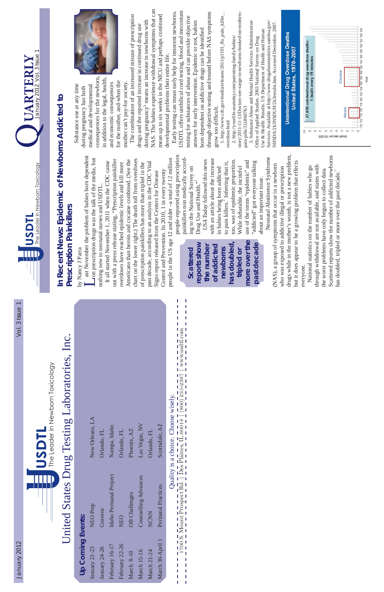# United States Drug Testing Laboratories, Inc. ting Laboratories, Inc. United States Drug Test

1700 S. Mount Prospect Rd. | Des Plaines, IL 60018 | (800) 235-2367 | www.usdtl.com Quality is a choice. J п J ı



### Quality is a choice. Choose wisely. Choose wisely.

| 1             | 1 |
|---------------|---|
|               |   |
|               |   |
|               |   |
|               |   |
|               |   |
|               |   |
|               |   |
| ⋚             |   |
|               |   |
|               |   |
| $1235 - 2367$ |   |
|               |   |
|               |   |
|               |   |
| $\widehat{O}$ |   |
|               |   |
|               |   |
|               |   |
| 30018         |   |
|               |   |
|               |   |

I,  $\begin{array}{c} 1 \\ 1 \\ 1 \end{array}$ Ī,

by Nancy J Parra by Nancy J Parra

Last November the problem of babies born dependent<br>Lon prescription drugs was the talk of the media, but ast November the problem of babies born dependent on prescription drugs was the talk of the media, but nothing new to neonatal nurses and USDTL. nothing new to neonatal nurses and USDTL.

**UARTERLY**



people-reported using prescription people-reported using prescription painkillers non medically accordpainkillers non medically accord-*USA Today* followed this news USA Today followed this news ing to the National Survey on<br>Drug Use and Health." ing to the National Survey on Drug Use and Health."

with an article about the increase with an article about the increase too, was of epidemic proportion. use of the terms "epidemic" and too, was of epidemic proportion. to pain killers.<sup>2</sup> Inferring that it, use of the terms "epidemic" and "addicted" got everyone talking "addicted" got everyone talking to pain killers.<sup>2</sup> Inferring that it, While debatable, the inciteful While debatable, the inciteful in babies being born addicted in babies being born addicted about an important issue. about an important issue.

drugs while in the mother's womb, is not a new problem, drugs while in the mother's womb, is not a new problem, Neonatal Abstinence Syndrome Neonatal Abstinence Syndrome but it does appear to be a growing problem that effects but it does appear to be a growing problem that effects (NAS), a group of symptoms that occur in a newborn (NAS), a group of symptoms that occur in a newborn who was exposed to addictive illegal or prescription who was exposed to addictive illegal or prescription everyone. everyone.

Scattered reports show the number of addicted newborns Scattered reports show the number of addicted newborns through withdrawal are not available, and states with National statistics on the number of babies who go through withdrawal are not available, and states with National statistics on the number of babies who go the worst problems have only begun to collect data. the worst problems have only begun to collect data. has doubled, tripled or more over the past decade.<sup>2</sup> has doubled, tripled or more over the past decade.<sup>2</sup>

people in the US age 12 and older –a total of 12 million chart on the lower right.) The death toll from overdoses people in the US age 12 and older-a total of 12 million out with a press release stating, "Prescription painkiller Americans than heroin and cocaine combined. (See the chart on the lower right.) The death toll from overdoses out with a press release stating, "Prescription painkiller Americans than heroin and cocaine combined. (See the It all started November 1, 2011 when the CDC came past decade, according to an analysis in the CDC Vital It all started November 1, 2011 when the CDC came past decade, according to an analysis in the CDC Vital overdoses have reached epidemic levels and kill more of prescription painkillers has more than tripled in the of prescription painkillers has more than tripled in the overdoses have reached epidemic levels and kill more Control and Prevention. In 2010, 1 in every twenty Control and Prevention. In 2010, 1 in every twenty Signs report released from the Centers for Disease Signs report released from the Centers for Disease

NAS. The babies experience withdrawal symptoms that can NAS. The babies experience withdrawal symptoms that can The combination of an increased misuse of prescription mean up to six weeks in the NICU and perhaps continued The combination of an increased misuse of prescription mean up to six weeks in the NICU and perhaps continued during pregnancy<sup>3</sup> means an increase in newborns with during pregnancy<sup>3</sup> means an increase in newborns with drugs and the reported increase in continued drug use drugs and the reported increase in continued drug use developmental problems their entire life. developmental problems their entire life.

USDTL offers umbilical cord testing, blood and meconium Early testing can mean early help for innocent newborns. USDTL offers umbilical cord testing, blood and meconium through objective testing and treated before NAS symptoms through objective testing and treated before NAS symptoms Early testing can mean early help for innocent newborns. testing for substances of abuse and can provide objective testing for substances of abuse and can provide objective answers for early intervention. Epidemic or not, babies answers for early intervention. Epidemic or not, babies born dependent on addictive drugs can be identified born dependent on addictive drugs can be identified grow too difficult. grow too difficult.

1. http://www.cdc.gov/media/releases/2011/p1101\_flu\_pain\_killer\_ 1. http://www.cdc.gov/media/releases/2011/p1101\_flu\_pain\_killer\_ overdose.html overdose.html

story/2011-11-13/Doctors-see-surge-in-newborns-hooked-on-mothersstory/2011-11-13/Doctors-see-surge-in-newborns-hooked-on-mothers-2. http://yourlife.usatoday.com/parenting-family/babies/ 2. http://yourlife.usatoday.com/parenting-family/babies/

### **In Recent News: Epidemic of Newborns Addicted to**  In Recent News: Epidemic of Newborns Addicted to **Prescription Painkillers**  Prescription Painkillers

|                          | New Orleans, LA | Orlando, FL   | Nampa, Idaho            | Orlando, FL    | Phoenix, AZ          | Las Vegas, NV        | Orlando, FL        | Scottsdale, AZ      |  |
|--------------------------|-----------------|---------------|-------------------------|----------------|----------------------|----------------------|--------------------|---------------------|--|
|                          | <b>NEO Prep</b> | Gravens       | Idaho Perinatal Project | <b>NEO</b>     | <b>OB</b> Challenges | Counselling Advances | NCNN               | Perinatal Practices |  |
| <b>Up Coming Events:</b> | January 21-23   | January 24-26 | February 16-17          | February 22-26 | March 8-10           | <b>March 15-16</b>   | <b>March 21-24</b> | March 30-April 1    |  |

consequences for the newborn, consequences for the newborn, in addition to the legal, health, in addition to the legal, health, for the mother, and-when the for the mother, and-when the mother can't pay-for society. and economic consequences mother can't pay-for society. and economic consequences Substance use at any time Substance use at any time medical and developmental medical and developmental during pregnancy has both during pregnancy has both



3. Substance Abuse and Mental Health Services Administration Services. Available at http://www.drugabusestatistics.samhsa.gov/ 3. Substance Abuse and Mental Health Services Administration Services. Available at http://www.drugabusestatistics.samhsa.gov/ NHSDA/2k3NSDUH/2k3results.htm. Accessed December, 2007. NHSDA/2k3NSDUH/2k3results.htm. Accessed December, 2007. Use & Health: Results. US Department of Health and Human Use & Health: Results. US Department of Health and Human Office of Applied Studies. 2003 National Survey on Drug Office of Applied Studies. 2003 National Survey on Drug pain-pills/51186076/1 pain-pills/51186076/1





**more over the has doubled,**  more over the **reports show**  past decade reports show **the number of addicted**  has doubled of addicted **past decade**the number **Scattered newborns**  Scattered newborns **tripled or**